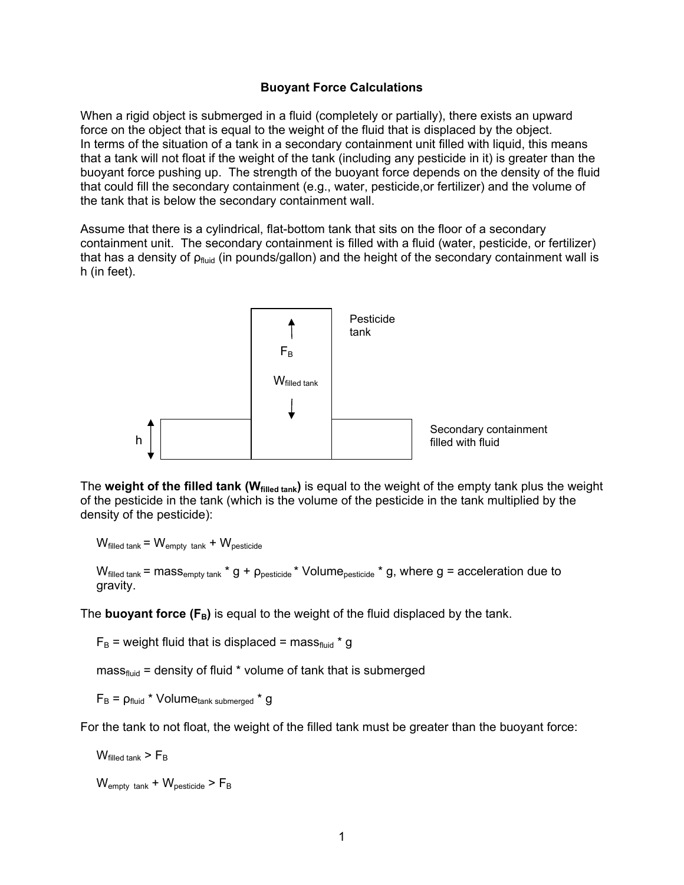## **Buoyant Force Calculations**

When a rigid object is submerged in a fluid (completely or partially), there exists an upward force on the object that is equal to the weight of the fluid that is displaced by the object. In terms of the situation of a tank in a secondary containment unit filled with liquid, this means that a tank will not float if the weight of the tank (including any pesticide in it) is greater than the buoyant force pushing up. The strength of the buoyant force depends on the density of the fluid that could fill the secondary containment (e.g., water, pesticide,or fertilizer) and the volume of the tank that is below the secondary containment wall.

Assume that there is a cylindrical, flat-bottom tank that sits on the floor of a secondary containment unit. The secondary containment is filled with a fluid (water, pesticide, or fertilizer) that has a density of  $p_{\text{fluid}}$  (in pounds/gallon) and the height of the secondary containment wall is h (in feet).



The **weight of the filled tank (Wfilled tank)** is equal to the weight of the empty tank plus the weight of the pesticide in the tank (which is the volume of the pesticide in the tank multiplied by the density of the pesticide):

 $W_{\text{filled tank}} = W_{\text{empty tank}} + W_{\text{pesticide}}$ 

 $W_{\text{filled tank}}$  = mass<sub>empty tank</sub> \* g +  $\rho_{\text{pesticide}}$  \* Volume<sub>pesticide</sub> \* g, where g = acceleration due to gravity.

The **buoyant force**  $(F_B)$  is equal to the weight of the fluid displaced by the tank.

 $F_B$  = weight fluid that is displaced = mass<sub>fluid</sub> \* g

 $mass<sub>fluid</sub>$  = density of fluid  $*$  volume of tank that is submerged

 $F_B$  =  $\rho_{fluid}$  \* Volume $_{tank\,submerged}$  \* g

For the tank to not float, the weight of the filled tank must be greater than the buoyant force:

 $W_{\text{filled tank}}$  >  $F_{\text{B}}$ 

 $W_{\text{empty tank}} + W_{\text{pesticide}} > F_{\text{B}}$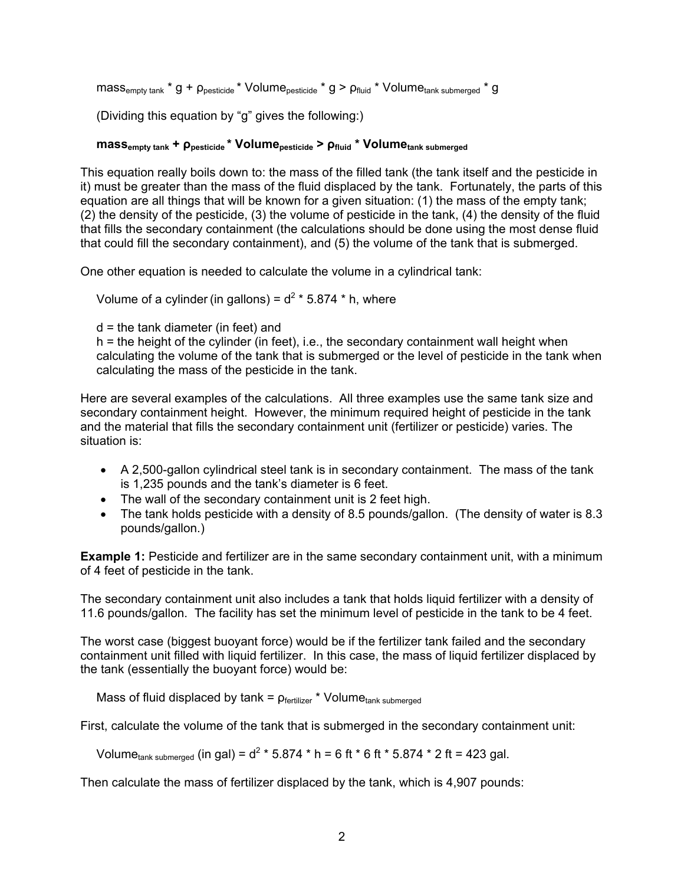```
mass_{empty \, tank} * g + \rho_{\text{pesticide}} * Volume_{\text{pesticide}} * g > \rho_{\text{fluid}} * Volume_{\text{tank submerged}} * g
```
(Dividing this equation by "g" gives the following:)

## **massempty tank + ρpesticide \* Volumepesticide > ρfluid \* Volumetank submerged**

This equation really boils down to: the mass of the filled tank (the tank itself and the pesticide in it) must be greater than the mass of the fluid displaced by the tank. Fortunately, the parts of this equation are all things that will be known for a given situation: (1) the mass of the empty tank; (2) the density of the pesticide, (3) the volume of pesticide in the tank, (4) the density of the fluid that fills the secondary containment (the calculations should be done using the most dense fluid that could fill the secondary containment), and (5) the volume of the tank that is submerged.

One other equation is needed to calculate the volume in a cylindrical tank:

Volume of a cylinder (in gallons) =  $d^2$  \* 5.874 \* h, where

 $d =$  the tank diameter (in feet) and

h = the height of the cylinder (in feet), i.e., the secondary containment wall height when calculating the volume of the tank that is submerged or the level of pesticide in the tank when calculating the mass of the pesticide in the tank.

Here are several examples of the calculations. All three examples use the same tank size and secondary containment height. However, the minimum required height of pesticide in the tank and the material that fills the secondary containment unit (fertilizer or pesticide) varies. The situation is:

- A 2,500-gallon cylindrical steel tank is in secondary containment. The mass of the tank is 1,235 pounds and the tank's diameter is 6 feet.
- The wall of the secondary containment unit is 2 feet high.
- The tank holds pesticide with a density of 8.5 pounds/gallon. (The density of water is 8.3 pounds/gallon.)

**Example 1:** Pesticide and fertilizer are in the same secondary containment unit, with a minimum of 4 feet of pesticide in the tank.

The secondary containment unit also includes a tank that holds liquid fertilizer with a density of 11.6 pounds/gallon. The facility has set the minimum level of pesticide in the tank to be 4 feet.

The worst case (biggest buoyant force) would be if the fertilizer tank failed and the secondary containment unit filled with liquid fertilizer. In this case, the mass of liquid fertilizer displaced by the tank (essentially the buoyant force) would be:

Mass of fluid displaced by  $tanh = p_{fertilizer} * Volume_{tank submerged}$ 

First, calculate the volume of the tank that is submerged in the secondary containment unit:

Volume<sub>tank submerged</sub> (in gal) =  $d^2 * 5.874 * h = 6$  ft  $* 6$  ft  $* 5.874 * 2$  ft = 423 gal.

Then calculate the mass of fertilizer displaced by the tank, which is 4,907 pounds: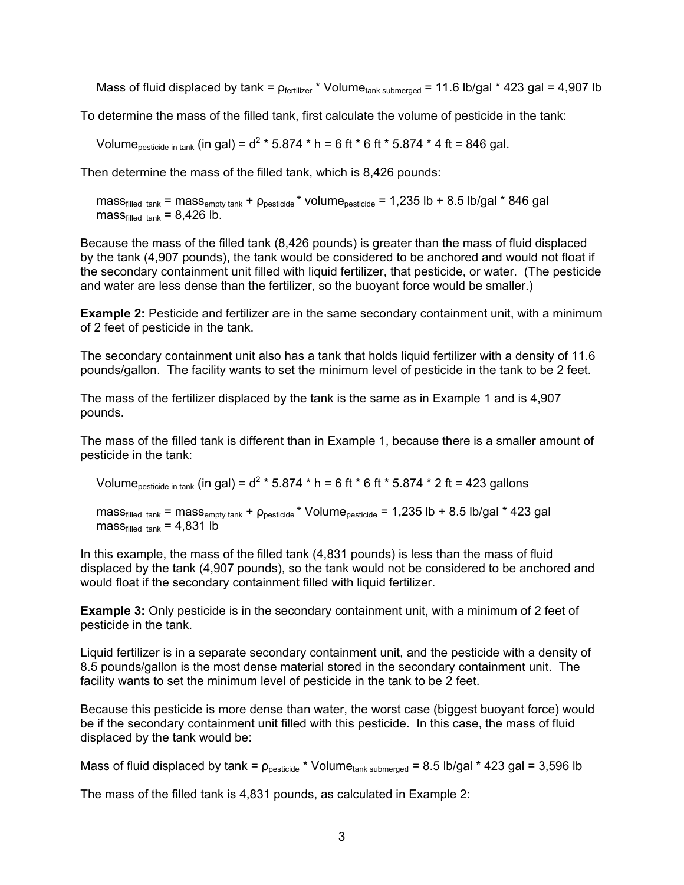Mass of fluid displaced by tank =  $p_{\text{fertilizer}}$  \* Volume<sub>tank submerged</sub> = 11.6 lb/gal \* 423 gal = 4,907 lb

To determine the mass of the filled tank, first calculate the volume of pesticide in the tank:

Volume<sub>pesticide in tank</sub> (in gal) =  $d^2 * 5.874 * h = 6$  ft  $* 6$  ft  $* 5.874 * 4$  ft = 846 gal.

Then determine the mass of the filled tank, which is 8,426 pounds:

mass<sub>filled tank</sub> = mass<sub>empty tank</sub> +  $\rho_{\text{pesticide}}$  \* volume<sub>pesticide</sub> = 1,235 lb + 8.5 lb/gal \* 846 gal  $mass_{\text{filled tank}} = 8,426$  lb.

Because the mass of the filled tank (8,426 pounds) is greater than the mass of fluid displaced by the tank (4,907 pounds), the tank would be considered to be anchored and would not float if the secondary containment unit filled with liquid fertilizer, that pesticide, or water. (The pesticide and water are less dense than the fertilizer, so the buoyant force would be smaller.)

**Example 2:** Pesticide and fertilizer are in the same secondary containment unit, with a minimum of 2 feet of pesticide in the tank.

The secondary containment unit also has a tank that holds liquid fertilizer with a density of 11.6 pounds/gallon. The facility wants to set the minimum level of pesticide in the tank to be 2 feet.

The mass of the fertilizer displaced by the tank is the same as in Example 1 and is 4,907 pounds.

The mass of the filled tank is different than in Example 1, because there is a smaller amount of pesticide in the tank:

Volume<sub>pesticide in tank</sub> (in gal) =  $d^2 * 5.874 * h = 6$  ft  $* 6$  ft  $* 5.874 * 2$  ft = 423 gallons

mass<sub>filled tank</sub> = mass<sub>empty tank</sub> +  $\rho_{\text{pesticide}}$  \* Volume<sub>pesticide</sub> = 1,235 lb + 8.5 lb/gal \* 423 gal mass $_{\text{filled tank}}$  = 4,831 lb

In this example, the mass of the filled tank (4,831 pounds) is less than the mass of fluid displaced by the tank (4,907 pounds), so the tank would not be considered to be anchored and would float if the secondary containment filled with liquid fertilizer.

**Example 3:** Only pesticide is in the secondary containment unit, with a minimum of 2 feet of pesticide in the tank.

Liquid fertilizer is in a separate secondary containment unit, and the pesticide with a density of 8.5 pounds/gallon is the most dense material stored in the secondary containment unit. The facility wants to set the minimum level of pesticide in the tank to be 2 feet.

Because this pesticide is more dense than water, the worst case (biggest buoyant force) would be if the secondary containment unit filled with this pesticide. In this case, the mass of fluid displaced by the tank would be:

Mass of fluid displaced by tank =  $\rho_{\text{pesticide}}$  \* Volume<sub>tank submerged</sub> = 8.5 lb/gal \* 423 gal = 3,596 lb

The mass of the filled tank is 4,831 pounds, as calculated in Example 2: